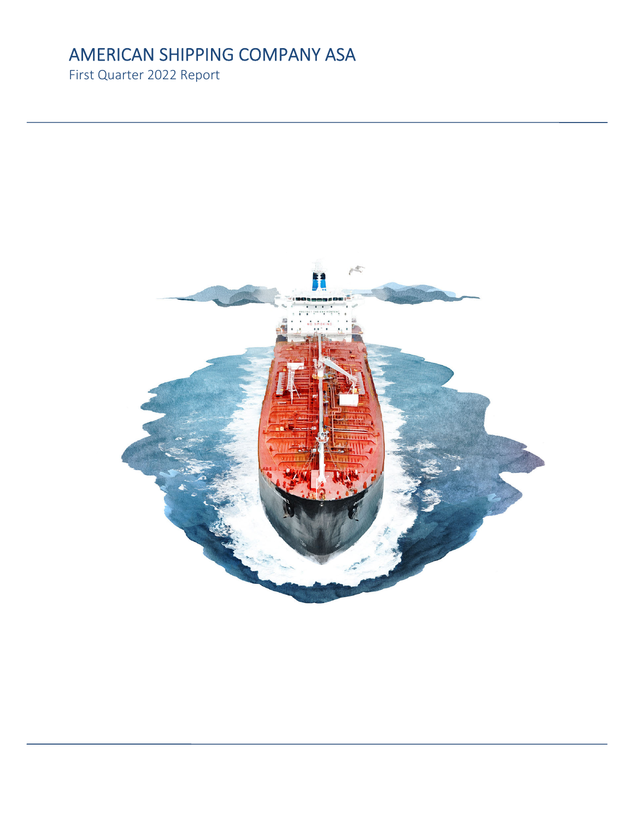# AMERICAN SHIPPING COMPANY ASA

First Quarter 2022 Report

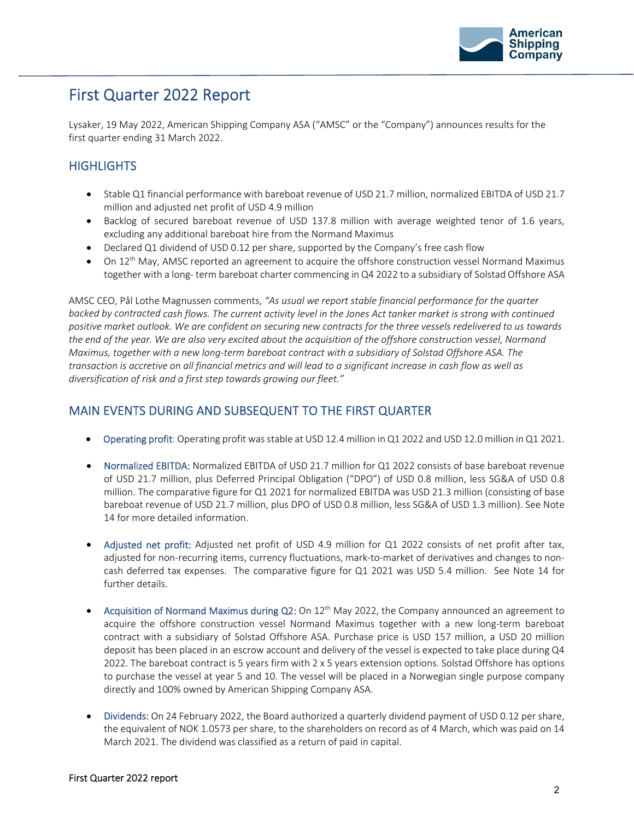

# First Quarter 2022 Report

Lysaker, 19 May 2022, American Shipping Company ASA ("AMSC" or the "Company") announces results for the first quarter ending 31 March 2022.

# **HIGHLIGHTS**

- Stable Q1 financial performance with bareboat revenue of USD 21.7 million, normalized EBITDA of USD 21.7 million and adjusted net profit of USD 4.9 million
- Backlog of secured bareboat revenue of USD 137.8 million with average weighted tenor of 1.6 years, excluding any additional bareboat hire from the Normand Maximus
- Declared Q1 dividend of USD 0.12 per share, supported by the Company's free cash flow
- $\bullet$  On 12<sup>th</sup> May, AMSC reported an agreement to acquire the offshore construction vessel Normand Maximus together with a long‐ term bareboat charter commencing in Q4 2022 to a subsidiary of Solstad Offshore ASA

AMSC CEO, Pål Lothe Magnussen comments, *"As usual we report stable financial performance for the quarter* backed by contracted cash flows. The current activity level in the Jones Act tanker market is strong with continued positive market outlook. We are confident on securing new contracts for the three vessels redelivered to us towards the end of the year. We are also very excited about the acquisition of the offshore construction vessel, Normand Maximus, together with a new long-term bareboat contract with a subsidiary of Solstad Offshore ASA. The transaction is accretive on all financial metrics and will lead to a significant increase in cash flow as well as *diversification of risk and a first step towards growing our fleet."* 

# MAIN EVENTS DURING AND SUBSEQUENT TO THE FIRST QUARTER

- Operating profit: Operating profit was stable at USD 12.4 million in Q1 2022 and USD 12.0 million in Q1 2021.
- Normalized EBITDA: Normalized EBITDA of USD 21.7 million for Q1 2022 consists of base bareboat revenue of USD 21.7 million, plus Deferred Principal Obligation ("DPO") of USD 0.8 million, less SG&A of USD 0.8 million. The comparative figure for Q1 2021 for normalized EBITDA was USD 21.3 million (consisting of base bareboat revenue of USD 21.7 million, plus DPO of USD 0.8 million, less SG&A of USD 1.3 million). See Note 14 for more detailed information.
- Adjusted net profit: Adjusted net profit of USD 4.9 million for Q1 2022 consists of net profit after tax, adjusted for non-recurring items, currency fluctuations, mark-to-market of derivatives and changes to noncash deferred tax expenses. The comparative figure for Q1 2021 was USD 5.4 million. See Note 14 for further details.
- Acquisition of Normand Maximus during  $Q2$ : On  $12<sup>th</sup>$  May 2022, the Company announced an agreement to acquire the offshore construction vessel Normand Maximus together with a new long-term bareboat contract with a subsidiary of Solstad Offshore ASA. Purchase price is USD 157 million, a USD 20 million deposit has been placed in an escrow account and delivery of the vessel is expected to take place during Q4 2022. The bareboat contract is 5 years firm with 2 x 5 years extension options. Solstad Offshore has options to purchase the vessel at year 5 and 10. The vessel will be placed in a Norwegian single purpose company directly and 100% owned by American Shipping Company ASA.
- Dividends: On 24 February 2022, the Board authorized a quarterly dividend payment of USD 0.12 per share, the equivalent of NOK 1.0573 per share, to the shareholders on record as of 4 March, which was paid on 14 March 2021. The dividend was classified as a return of paid in capital.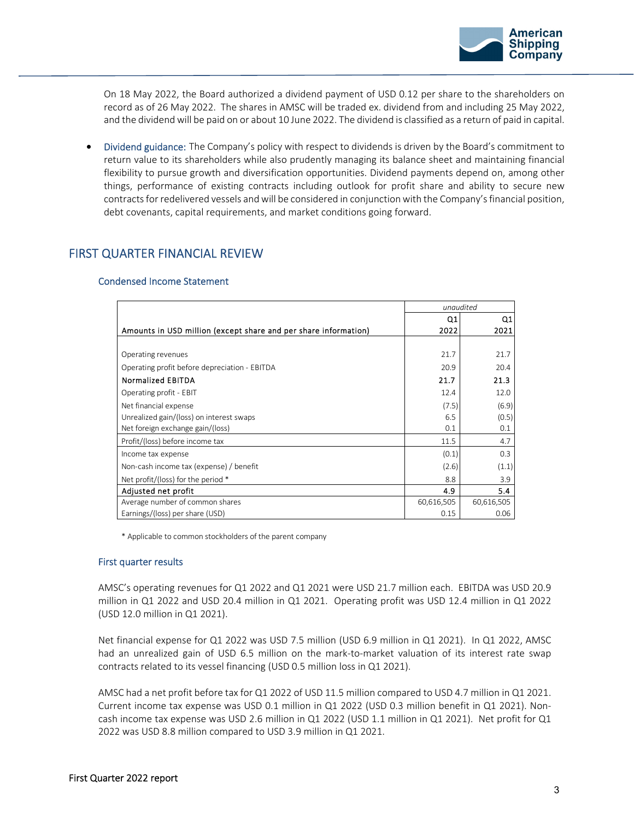

On 18 May 2022, the Board authorized a dividend payment of USD 0.12 per share to the shareholders on record as of 26 May 2022. The shares in AMSC will be traded ex. dividend from and including 25 May 2022, and the dividend will be paid on or about 10 June 2022. The dividend is classified as a return of paid in capital.

 Dividend guidance: The Company's policy with respect to dividends is driven by the Board's commitment to return value to its shareholders while also prudently managing its balance sheet and maintaining financial flexibility to pursue growth and diversification opportunities. Dividend payments depend on, among other things, performance of existing contracts including outlook for profit share and ability to secure new contracts for redelivered vessels and will be considered in conjunction with the Company's financial position, debt covenants, capital requirements, and market conditions going forward.

# FIRST QUARTER FINANCIAL REVIEW

#### Condensed Income Statement

|                                                                 |            | unaudited  |
|-----------------------------------------------------------------|------------|------------|
|                                                                 | Q1         | Q1         |
| Amounts in USD million (except share and per share information) | 2022       | 2021       |
|                                                                 |            |            |
| Operating revenues                                              | 21.7       | 21.7       |
| Operating profit before depreciation - EBITDA                   | 20.9       | 20.4       |
| <b>Normalized EBITDA</b>                                        | 21.7       | 21.3       |
| Operating profit - EBIT                                         | 12.4       | 12.0       |
| Net financial expense                                           | (7.5)      | (6.9)      |
| Unrealized gain/(loss) on interest swaps                        | 6.5        | (0.5)      |
| Net foreign exchange gain/(loss)                                | 0.1        | 0.1        |
| Profit/(loss) before income tax                                 | 11.5       | 4.7        |
| Income tax expense                                              | (0.1)      | 0.3        |
| Non-cash income tax (expense) / benefit                         | (2.6)      | (1.1)      |
| Net profit/(loss) for the period *                              | 8.8        | 3.9        |
| Adjusted net profit                                             | 4.9        | 5.4        |
| Average number of common shares                                 | 60,616,505 | 60,616,505 |
| Earnings/(loss) per share (USD)                                 | 0.15       | 0.06       |

\* Applicable to common stockholders of the parent company

#### First quarter results

AMSC's operating revenues for Q1 2022 and Q1 2021 were USD 21.7 million each. EBITDA was USD 20.9 million in Q1 2022 and USD 20.4 million in Q1 2021. Operating profit was USD 12.4 million in Q1 2022 (USD 12.0 million in Q1 2021).

Net financial expense for Q1 2022 was USD 7.5 million (USD 6.9 million in Q1 2021). In Q1 2022, AMSC had an unrealized gain of USD 6.5 million on the mark-to-market valuation of its interest rate swap contracts related to its vessel financing (USD 0.5 million loss in Q1 2021).

AMSC had a net profit before tax for Q1 2022 of USD 11.5 million compared to USD 4.7 million in Q1 2021. Current income tax expense was USD 0.1 million in Q1 2022 (USD 0.3 million benefit in Q1 2021). Non‐ cash income tax expense was USD 2.6 million in Q1 2022 (USD 1.1 million in Q1 2021). Net profit for Q1 2022 was USD 8.8 million compared to USD 3.9 million in Q1 2021.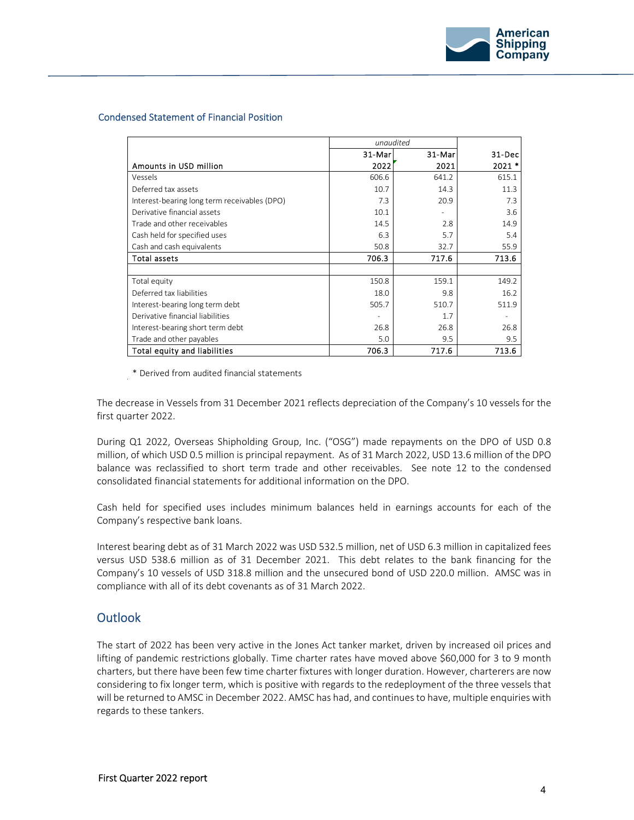

#### Condensed Statement of Financial Position

|                                              |        | unaudited |         |
|----------------------------------------------|--------|-----------|---------|
|                                              | 31-Mar | 31-Mar    | 31-Dec  |
| Amounts in USD million                       | 2022   | 2021      | $2021*$ |
| Vessels                                      | 606.6  | 641.2     | 615.1   |
| Deferred tax assets                          | 10.7   | 14.3      | 11.3    |
| Interest-bearing long term receivables (DPO) | 7.3    | 20.9      | 7.3     |
| Derivative financial assets                  | 10.1   |           | 3.6     |
| Trade and other receivables                  | 14.5   | 2.8       | 14.9    |
| Cash held for specified uses                 | 6.3    | 5.7       | 5.4     |
| Cash and cash equivalents                    | 50.8   | 32.7      | 55.9    |
| <b>Total assets</b>                          | 706.3  | 717.6     | 713.6   |
|                                              |        |           |         |
| Total equity                                 | 150.8  | 159.1     | 149.2   |
| Deferred tax liabilities                     | 18.0   | 9.8       | 16.2    |
| Interest-bearing long term debt              | 505.7  | 510.7     | 511.9   |
| Derivative financial liabilities             |        | 1.7       |         |
| Interest-bearing short term debt             | 26.8   | 26.8      | 26.8    |
| Trade and other payables                     | 5.0    | 9.5       | 9.5     |
| <b>Total equity and liabilities</b>          | 706.3  | 717.6     | 713.6   |

\* Derived from audited financial statements

The decrease in Vessels from 31 December 2021 reflects depreciation of the Company's 10 vessels for the first quarter 2022.

During Q1 2022, Overseas Shipholding Group, Inc. ("OSG") made repayments on the DPO of USD 0.8 million, of which USD 0.5 million is principal repayment. As of 31 March 2022, USD 13.6 million of the DPO balance was reclassified to short term trade and other receivables. See note 12 to the condensed consolidated financial statements for additional information on the DPO.

Cash held for specified uses includes minimum balances held in earnings accounts for each of the Company's respective bank loans.

Interest bearing debt as of 31 March 2022 was USD 532.5 million, net of USD 6.3 million in capitalized fees versus USD 538.6 million as of 31 December 2021. This debt relates to the bank financing for the Company's 10 vessels of USD 318.8 million and the unsecured bond of USD 220.0 million. AMSC was in compliance with all of its debt covenants as of 31 March 2022.

# **Outlook**

The start of 2022 has been very active in the Jones Act tanker market, driven by increased oil prices and lifting of pandemic restrictions globally. Time charter rates have moved above \$60,000 for 3 to 9 month charters, but there have been few time charter fixtures with longer duration. However, charterers are now considering to fix longer term, which is positive with regards to the redeployment of the three vessels that will be returned to AMSC in December 2022. AMSC has had, and continuesto have, multiple enquiries with regards to these tankers.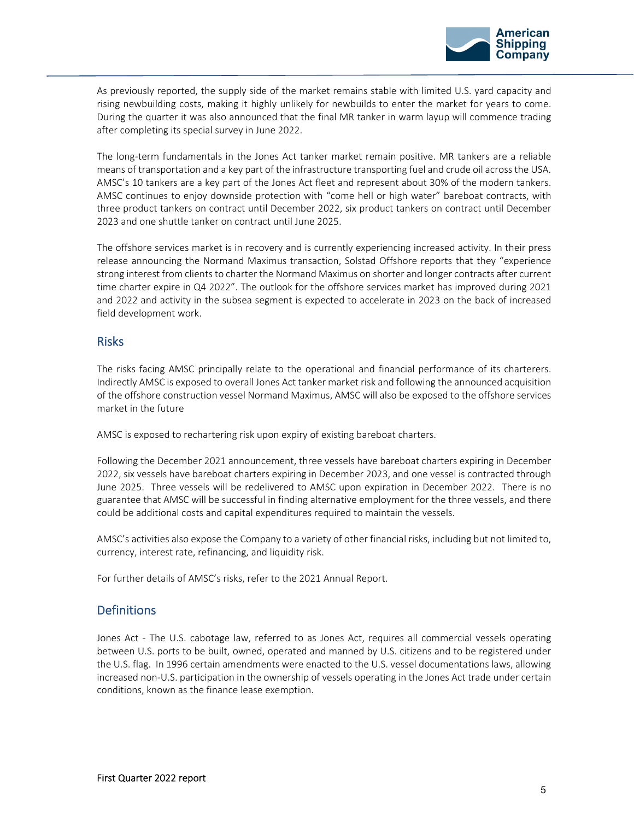

As previously reported, the supply side of the market remains stable with limited U.S. yard capacity and rising newbuilding costs, making it highly unlikely for newbuilds to enter the market for years to come. During the quarter it was also announced that the final MR tanker in warm layup will commence trading after completing its special survey in June 2022.

The long‐term fundamentals in the Jones Act tanker market remain positive. MR tankers are a reliable means of transportation and a key part of the infrastructure transporting fuel and crude oil acrossthe USA. AMSC's 10 tankers are a key part of the Jones Act fleet and represent about 30% of the modern tankers. AMSC continues to enjoy downside protection with "come hell or high water" bareboat contracts, with three product tankers on contract until December 2022, six product tankers on contract until December 2023 and one shuttle tanker on contract until June 2025.

The offshore services market is in recovery and is currently experiencing increased activity. In their press release announcing the Normand Maximus transaction, Solstad Offshore reports that they "experience strong interest from clients to charter the Normand Maximus on shorter and longer contracts after current time charter expire in Q4 2022". The outlook for the offshore services market has improved during 2021 and 2022 and activity in the subsea segment is expected to accelerate in 2023 on the back of increased field development work.

# Risks

The risks facing AMSC principally relate to the operational and financial performance of its charterers. Indirectly AMSC is exposed to overall Jones Act tanker market risk and following the announced acquisition of the offshore construction vessel Normand Maximus, AMSC will also be exposed to the offshore services market in the future

AMSC is exposed to rechartering risk upon expiry of existing bareboat charters.

Following the December 2021 announcement, three vessels have bareboat charters expiring in December 2022, six vessels have bareboat charters expiring in December 2023, and one vessel is contracted through June 2025. Three vessels will be redelivered to AMSC upon expiration in December 2022. There is no guarantee that AMSC will be successful in finding alternative employment for the three vessels, and there could be additional costs and capital expenditures required to maintain the vessels.

AMSC's activities also expose the Company to a variety of other financial risks, including but not limited to, currency, interest rate, refinancing, and liquidity risk.

For further details of AMSC's risks, refer to the 2021 Annual Report.

# **Definitions**

Jones Act - The U.S. cabotage law, referred to as Jones Act, requires all commercial vessels operating between U.S. ports to be built, owned, operated and manned by U.S. citizens and to be registered under the U.S. flag. In 1996 certain amendments were enacted to the U.S. vessel documentations laws, allowing increased non‐U.S. participation in the ownership of vessels operating in the Jones Act trade under certain conditions, known as the finance lease exemption.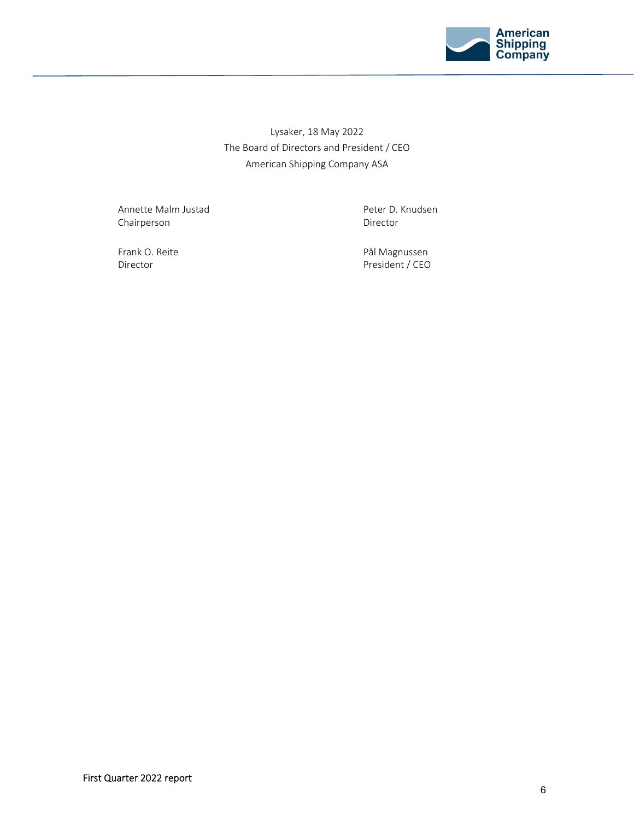

Lysaker, 18 May 2022 The Board of Directors and President / CEO American Shipping Company ASA

Annette Malm Justad **and School School School School** Peter D. Knudsen Chairperson **Director** 

Frank O. Reite **Magnussen** Communication and Transfer Pål Magnussen Director **Director President / CEO**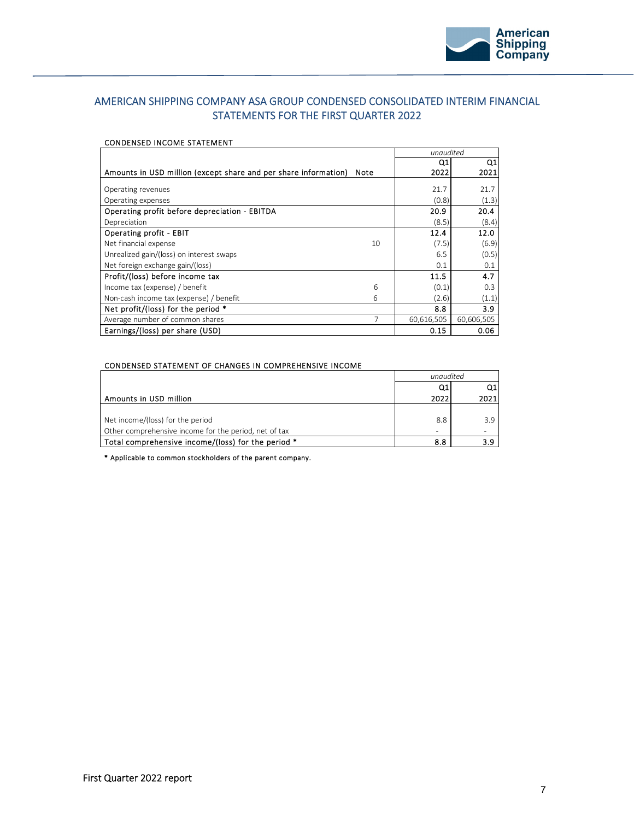

## AMERICAN SHIPPING COMPANY ASA GROUP CONDENSED CONSOLIDATED INTERIM FINANCIAL STATEMENTS FOR THE FIRST QUARTER 2022

#### CONDENSED INCOME STATEMENT

|                                                                 |      | unaudited  |            |
|-----------------------------------------------------------------|------|------------|------------|
|                                                                 |      | Q1         | Q1         |
| Amounts in USD million (except share and per share information) | Note | 2022       | 2021       |
|                                                                 |      |            |            |
| Operating revenues                                              |      | 21.7       | 21.7       |
| Operating expenses                                              |      | (0.8)      | (1.3)      |
| Operating profit before depreciation - EBITDA                   |      | 20.9       | 20.4       |
| Depreciation                                                    |      | (8.5)      | (8.4)      |
| <b>Operating profit - EBIT</b>                                  |      | 12.4       | 12.0       |
| Net financial expense                                           | 10   | (7.5)      | (6.9)      |
| Unrealized gain/(loss) on interest swaps                        |      | 6.5        | (0.5)      |
| Net foreign exchange gain/(loss)                                |      | 0.1        | 0.1        |
| Profit/(loss) before income tax                                 |      | 11.5       | 4.7        |
| Income tax (expense) / benefit                                  | 6    | (0.1)      | 0.3        |
| Non-cash income tax (expense) / benefit                         | 6    | (2.6)      | (1.1)      |
| Net profit/(loss) for the period *                              |      | 8.8        | 3.9        |
| Average number of common shares                                 | 7    | 60,616,505 | 60,606,505 |
| Earnings/(loss) per share (USD)                                 |      | 0.15       | 0.06       |

#### CONDENSED STATEMENT OF CHANGES IN COMPREHENSIVE INCOME

|                                                       | unaudited |       |
|-------------------------------------------------------|-----------|-------|
|                                                       | Q1        | Q1    |
| Amounts in USD million                                | 2022      | 20211 |
|                                                       |           |       |
| Net income/(loss) for the period                      | 8.8       | 39    |
| Other comprehensive income for the period, net of tax | ۰         |       |
| Total comprehensive income/(loss) for the period *    | 8.8       |       |

\* Applicable to common stockholders of the parent company.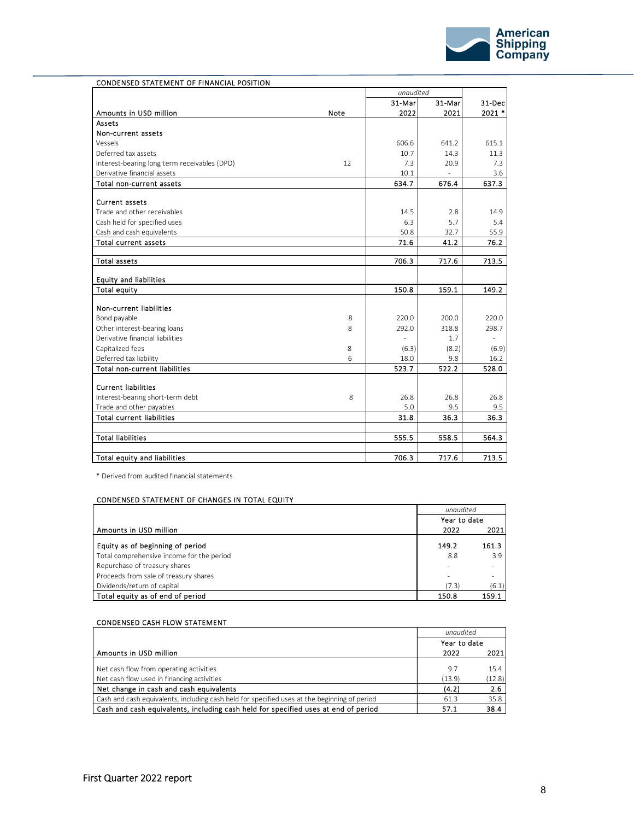

|                                              |      | unaudited |        |                |
|----------------------------------------------|------|-----------|--------|----------------|
|                                              |      | 31-Mar    | 31-Mar | 31-Dec         |
| Amounts in USD million                       | Note | 2022      | 2021   | $2021$ *       |
| Assets                                       |      |           |        |                |
| Non-current assets                           |      |           |        |                |
| Vessels                                      |      | 606.6     | 641.2  | 615.1          |
| Deferred tax assets                          |      | 10.7      | 14.3   | 11.3           |
| Interest-bearing long term receivables (DPO) | 12   | 7.3       | 20.9   | 7.3            |
| Derivative financial assets                  |      | 10.1      |        | 3.6            |
| Total non-current assets                     |      | 634.7     | 676.4  | 637.3          |
| <b>Current assets</b>                        |      |           |        |                |
| Trade and other receivables                  |      | 14.5      | 2.8    | 14.9           |
| Cash held for specified uses                 |      | 6.3       | 5.7    | 5.4            |
| Cash and cash equivalents                    |      | 50.8      | 32.7   | 55.9           |
| <b>Total current assets</b>                  |      | 71.6      | 41.2   | 76.2           |
| Total assets                                 |      | 706.3     | 717.6  | 713.5          |
| <b>Equity and liabilities</b>                |      |           |        |                |
| <b>Total equity</b>                          |      | 150.8     | 159.1  | 149.2          |
|                                              |      |           |        |                |
| <b>Non-current liabilities</b>               |      |           |        |                |
| Bond payable                                 | 8    | 220.0     | 200.0  | 220.0          |
| Other interest-bearing loans                 | 8    | 292.0     | 318.8  | 298.7          |
| Derivative financial liabilities             |      | L,        | 1.7    | $\overline{a}$ |
| Capitalized fees                             | 8    | (6.3)     | (8.2)  | (6.9)          |
| Deferred tax liability                       | 6    | 18.0      | 9.8    | 16.2           |
| <b>Total non-current liabilities</b>         |      | 523.7     | 522.2  | 528.0          |
| <b>Current liabilities</b>                   |      |           |        |                |
| Interest-bearing short-term debt             | 8    | 26.8      | 26.8   | 26.8           |
| Trade and other payables                     |      | 5.0       | 9.5    | 9.5            |
| <b>Total current liabilities</b>             |      | 31.8      | 36.3   | 36.3           |
| <b>Total liabilities</b>                     |      | 555.5     | 558.5  | 564.3          |
|                                              |      |           |        |                |
| Total equity and liabilities                 |      | 706.3     | 717.6  | 713.5          |

\* Derived from audited financial statements

#### CONDENSED STATEMENT OF CHANGES IN TOTAL EQUITY

|                                           | unaudited    |                          |
|-------------------------------------------|--------------|--------------------------|
|                                           | Year to date |                          |
| Amounts in USD million                    | 2022         | 2021                     |
| Equity as of beginning of period          | 149.2        | 161.3                    |
| Total comprehensive income for the period | 8.8          | 3.9                      |
| Repurchase of treasury shares             |              | $\overline{\phantom{a}}$ |
| Proceeds from sale of treasury shares     |              |                          |
| Dividends/return of capital               | (7.3)        | (6.1)                    |
| Total equity as of end of period          | 150.8        | 159.1                    |

#### CONDENSED CASH FLOW STATEMENT

|                                                                                              | unaudited    |        |
|----------------------------------------------------------------------------------------------|--------------|--------|
|                                                                                              | Year to date |        |
| Amounts in USD million                                                                       | 2022         | 2021   |
| Net cash flow from operating activities                                                      | 9.7          | 15.4   |
| Net cash flow used in financing activities                                                   | (13.9)       | (12.8) |
| Net change in cash and cash equivalents                                                      | (4.2)        | 2.6    |
| Cash and cash equivalents, including cash held for specified uses at the beginning of period | 61.3         | 35.8   |
| Cash and cash equivalents, including cash held for specified uses at end of period           | 57.1         | 38.4   |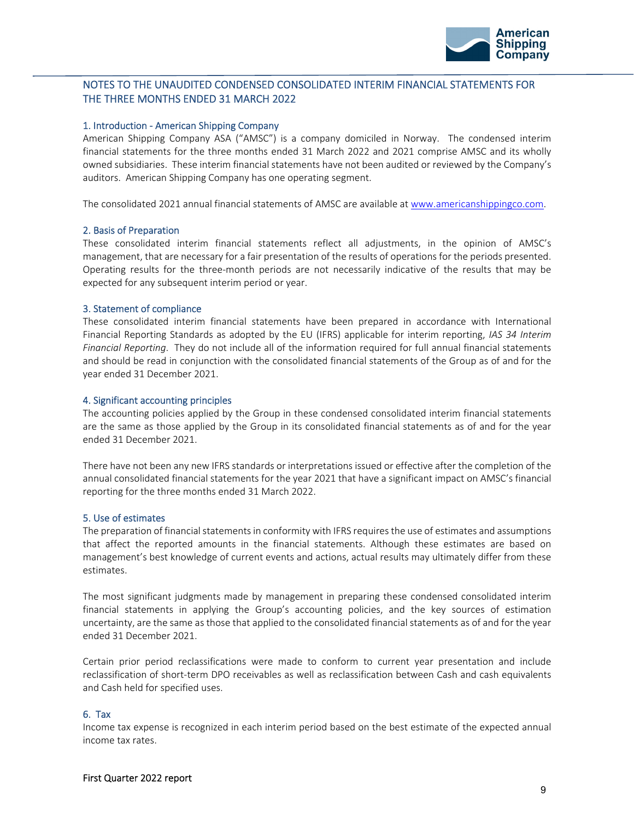

### NOTES TO THE UNAUDITED CONDENSED CONSOLIDATED INTERIM FINANCIAL STATEMENTS FOR THE THREE MONTHS ENDED 31 MARCH 2022

#### 1. Introduction ‐ American Shipping Company

American Shipping Company ASA ("AMSC") is a company domiciled in Norway. The condensed interim financial statements for the three months ended 31 March 2022 and 2021 comprise AMSC and its wholly owned subsidiaries. These interim financial statements have not been audited or reviewed by the Company's auditors. American Shipping Company has one operating segment.

The consolidated 2021 annual financial statements of AMSC are available at www.americanshippingco.com.

#### 2. Basis of Preparation

These consolidated interim financial statements reflect all adjustments, in the opinion of AMSC's management, that are necessary for a fair presentation of the results of operations for the periods presented. Operating results for the three‐month periods are not necessarily indicative of the results that may be expected for any subsequent interim period or year.

#### 3. Statement of compliance

These consolidated interim financial statements have been prepared in accordance with International Financial Reporting Standards as adopted by the EU (IFRS) applicable for interim reporting, *IAS 34 Interim Financial Reporting*. They do not include all of the information required for full annual financial statements and should be read in conjunction with the consolidated financial statements of the Group as of and for the year ended 31 December 2021.

#### 4. Significant accounting principles

The accounting policies applied by the Group in these condensed consolidated interim financial statements are the same as those applied by the Group in its consolidated financial statements as of and for the year ended 31 December 2021.

There have not been any new IFRS standards or interpretations issued or effective after the completion of the annual consolidated financial statements for the year 2021 that have a significant impact on AMSC's financial reporting for the three months ended 31 March 2022.

#### 5. Use of estimates

The preparation of financial statements in conformity with IFRS requires the use of estimates and assumptions that affect the reported amounts in the financial statements. Although these estimates are based on management's best knowledge of current events and actions, actual results may ultimately differ from these estimates.

The most significant judgments made by management in preparing these condensed consolidated interim financial statements in applying the Group's accounting policies, and the key sources of estimation uncertainty, are the same as those that applied to the consolidated financial statements as of and for the year ended 31 December 2021.

Certain prior period reclassifications were made to conform to current year presentation and include reclassification of short‐term DPO receivables as well as reclassification between Cash and cash equivalents and Cash held for specified uses.

#### 6. Tax

Income tax expense is recognized in each interim period based on the best estimate of the expected annual income tax rates.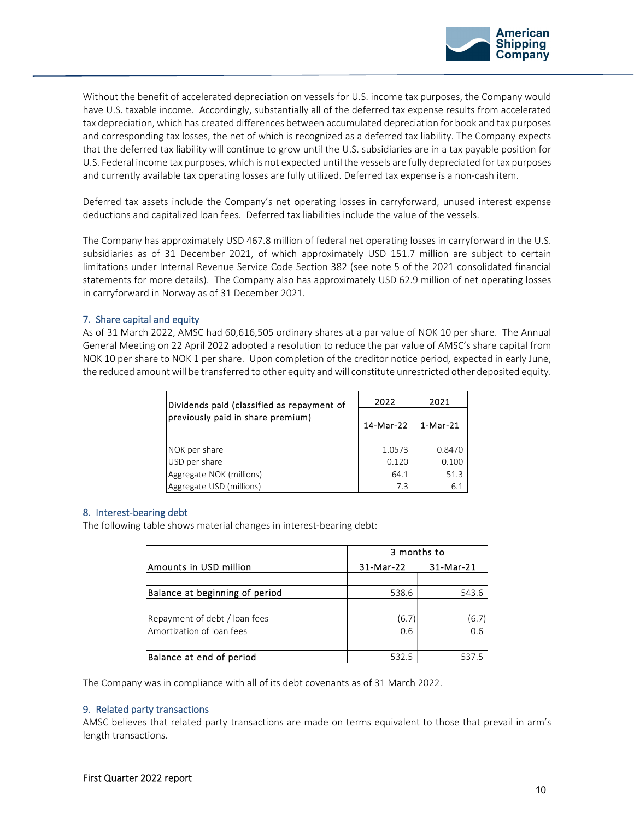

Without the benefit of accelerated depreciation on vessels for U.S. income tax purposes, the Company would have U.S. taxable income. Accordingly, substantially all of the deferred tax expense results from accelerated tax depreciation, which has created differences between accumulated depreciation for book and tax purposes and corresponding tax losses, the net of which is recognized as a deferred tax liability. The Company expects that the deferred tax liability will continue to grow until the U.S. subsidiaries are in a tax payable position for U.S. Federal income tax purposes, which is not expected until the vessels are fully depreciated for tax purposes and currently available tax operating losses are fully utilized. Deferred tax expense is a non-cash item.

Deferred tax assets include the Company's net operating losses in carryforward, unused interest expense deductions and capitalized loan fees. Deferred tax liabilities include the value of the vessels.

The Company has approximately USD 467.8 million of federal net operating losses in carryforward in the U.S. subsidiaries as of 31 December 2021, of which approximately USD 151.7 million are subject to certain limitations under Internal Revenue Service Code Section 382 (see note 5 of the 2021 consolidated financial statements for more details). The Company also has approximately USD 62.9 million of net operating losses in carryforward in Norway as of 31 December 2021.

#### 7. Share capital and equity

As of 31 March 2022, AMSC had 60,616,505 ordinary shares at a par value of NOK 10 per share. The Annual General Meeting on 22 April 2022 adopted a resolution to reduce the par value of AMSC's share capital from NOK 10 per share to NOK 1 per share. Upon completion of the creditor notice period, expected in early June, the reduced amount will be transferred to other equity andwill constitute unrestricted other deposited equity.

| Dividends paid (classified as repayment of | 2022      | 2021       |  |
|--------------------------------------------|-----------|------------|--|
| previously paid in share premium)          | 14-Mar-22 | $1-Mar-21$ |  |
|                                            |           |            |  |
| NOK per share                              | 1.0573    | 0.8470     |  |
| USD per share                              | 0.120     | 0.100      |  |
| Aggregate NOK (millions)                   | 64.1      | 51.3       |  |
| Aggregate USD (millions)                   | 7.3       | 6.1        |  |

#### 8. Interest‐bearing debt

The following table shows material changes in interest‐bearing debt:

|                                | 3 months to |           |           |  |  |
|--------------------------------|-------------|-----------|-----------|--|--|
| Amounts in USD million         |             | 31-Mar-22 | 31-Mar-21 |  |  |
|                                |             |           |           |  |  |
| Balance at beginning of period |             | 538.6     | 543.6     |  |  |
|                                |             |           |           |  |  |
| Repayment of debt / loan fees  |             | (6.7)     | (6.7)     |  |  |
| Amortization of loan fees      |             | 0.6       | 0.6       |  |  |
|                                |             |           |           |  |  |
| Balance at end of period       |             | 532.5     |           |  |  |

The Company was in compliance with all of its debt covenants as of 31 March 2022.

#### 9. Related party transactions

AMSC believes that related party transactions are made on terms equivalent to those that prevail in arm's length transactions.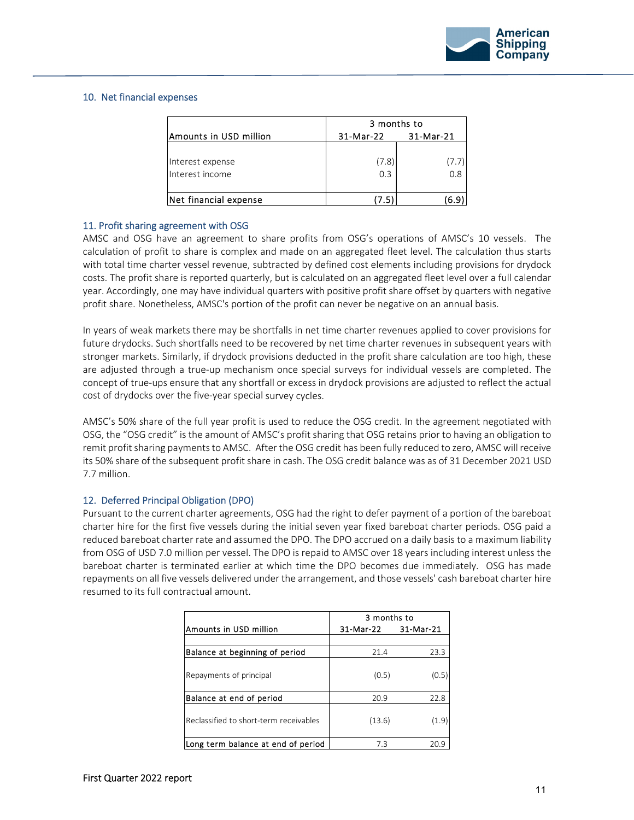

#### 10. Net financial expenses

|                        | 3 months to |           |  |
|------------------------|-------------|-----------|--|
| Amounts in USD million | 31-Mar-22   | 31-Mar-21 |  |
|                        |             |           |  |
| Interest expense       | (7.8)       |           |  |
| Interest income        | 0.3         | 0.8       |  |
|                        |             |           |  |
| Net financial expense  |             |           |  |

#### 11. Profit sharing agreement with OSG

AMSC and OSG have an agreement to share profits from OSG's operations of AMSC's 10 vessels. The calculation of profit to share is complex and made on an aggregated fleet level. The calculation thus starts with total time charter vessel revenue, subtracted by defined cost elements including provisions for drydock costs. The profit share is reported quarterly, but is calculated on an aggregated fleet level over a full calendar year. Accordingly, one may have individual quarters with positive profit share offset by quarters with negative profit share. Nonetheless, AMSC's portion of the profit can never be negative on an annual basis.

In years of weak markets there may be shortfalls in net time charter revenues applied to cover provisions for future drydocks. Such shortfalls need to be recovered by net time charter revenues in subsequent years with stronger markets. Similarly, if drydock provisions deducted in the profit share calculation are too high, these are adjusted through a true‐up mechanism once special surveys for individual vessels are completed. The concept of true‐ups ensure that any shortfall or excess in drydock provisions are adjusted to reflect the actual cost of drydocks over the five-year special survey cycles.

AMSC's 50% share of the full year profit is used to reduce the OSG credit. In the agreement negotiated with OSG, the "OSG credit" is the amount of AMSC's profit sharing that OSG retains prior to having an obligation to remit profit sharing payments to AMSC. After the OSG credit has been fully reduced to zero, AMSC will receive its 50% share of the subsequent profit share in cash. The OSG credit balance was as of 31 December 2021 USD 7.7 million.

#### 12. Deferred Principal Obligation (DPO)

Pursuant to the current charter agreements, OSG had the right to defer payment of a portion of the bareboat charter hire for the first five vessels during the initial seven year fixed bareboat charter periods. OSG paid a reduced bareboat charter rate and assumed the DPO. The DPO accrued on a daily basis to a maximum liability from OSG of USD 7.0 million per vessel. The DPO is repaid to AMSC over 18 years including interest unless the bareboat charter is terminated earlier at which time the DPO becomes due immediately. OSG has made repayments on all five vessels delivered under the arrangement, and those vessels' cash bareboat charter hire resumed to its full contractual amount.

|                                        | 3 months to            |       |  |
|----------------------------------------|------------------------|-------|--|
| Amounts in USD million                 | 31-Mar-21<br>31-Mar 22 |       |  |
|                                        |                        |       |  |
| Balance at beginning of period         | 21.4                   | 23.3  |  |
| Repayments of principal                | (0.5)                  | (0.5) |  |
| Balance at end of period               | 20.9                   | 22.8  |  |
| Reclassified to short-term receivables | (13.6)                 | (1.9) |  |
| Long term balance at end of period     | 7.3                    | 20.9  |  |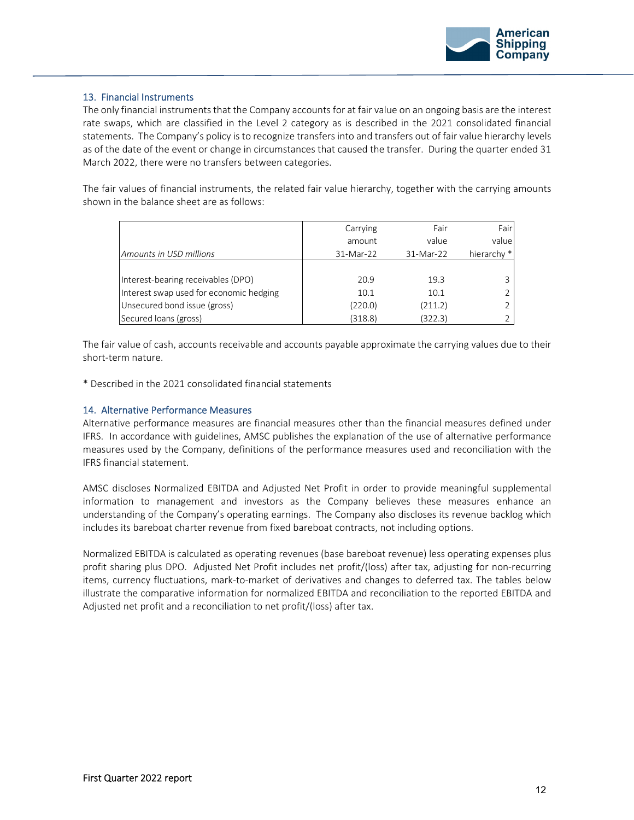

#### 13. Financial Instruments

The only financial instruments that the Company accounts for at fair value on an ongoing basis are the interest rate swaps, which are classified in the Level 2 category as is described in the 2021 consolidated financial statements. The Company's policy is to recognize transfers into and transfers out of fair value hierarchy levels as of the date of the event or change in circumstances that caused the transfer. During the quarter ended 31 March 2022, there were no transfers between categories.

The fair values of financial instruments, the related fair value hierarchy, together with the carrying amounts shown in the balance sheet are as follows:

|                                         | Carrying  | Fair      | Fair                   |
|-----------------------------------------|-----------|-----------|------------------------|
|                                         | amount    | value     | value                  |
| Amounts in USD millions                 | 31-Mar-22 | 31-Mar-22 | hierarchy <sup>*</sup> |
|                                         |           |           |                        |
| Interest-bearing receivables (DPO)      | 20.9      | 19.3      |                        |
| Interest swap used for economic hedging | 10.1      | 10.1      |                        |
| Unsecured bond issue (gross)            | (220.0)   | (211.2)   |                        |
| Secured loans (gross)                   | (318.8)   | (322.3)   |                        |

The fair value of cash, accounts receivable and accounts payable approximate the carrying values due to their short‐term nature.

\* Described in the 2021 consolidated financial statements

#### 14. Alternative Performance Measures

Alternative performance measures are financial measures other than the financial measures defined under IFRS. In accordance with guidelines, AMSC publishes the explanation of the use of alternative performance measures used by the Company, definitions of the performance measures used and reconciliation with the IFRS financial statement.

AMSC discloses Normalized EBITDA and Adjusted Net Profit in order to provide meaningful supplemental information to management and investors as the Company believes these measures enhance an understanding of the Company's operating earnings. The Company also discloses its revenue backlog which includes its bareboat charter revenue from fixed bareboat contracts, not including options.

Normalized EBITDA is calculated as operating revenues (base bareboat revenue) less operating expenses plus profit sharing plus DPO. Adjusted Net Profit includes net profit/(loss) after tax, adjusting for non‐recurring items, currency fluctuations, mark-to-market of derivatives and changes to deferred tax. The tables below illustrate the comparative information for normalized EBITDA and reconciliation to the reported EBITDA and Adjusted net profit and a reconciliation to net profit/(loss) after tax.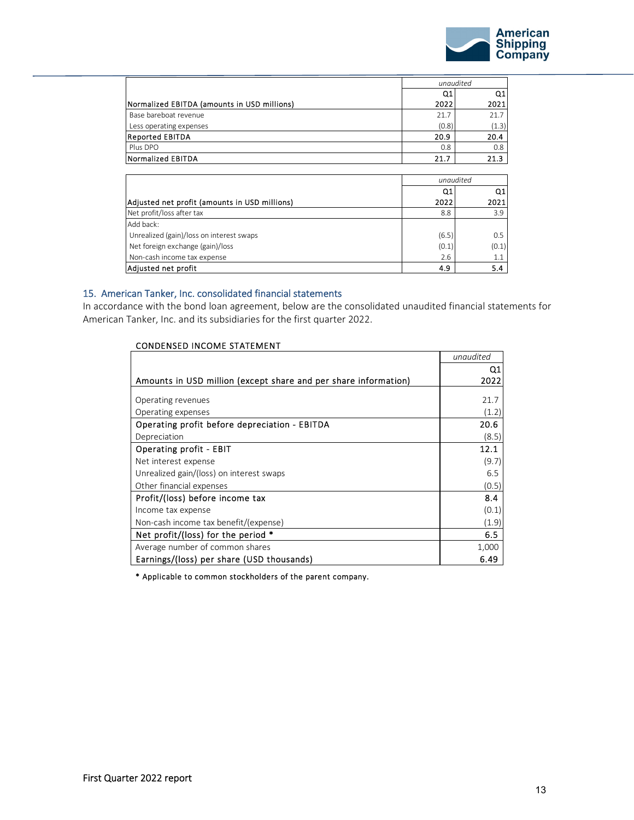

|                                               |                | unaudited |  |
|-----------------------------------------------|----------------|-----------|--|
|                                               | Q <sub>1</sub> | Q1        |  |
| Normalized EBITDA (amounts in USD millions)   | 2022           | 2021      |  |
| Base bareboat revenue                         | 21.7           | 21.7      |  |
| Less operating expenses                       | (0.8)          | (1.3)     |  |
| <b>Reported EBITDA</b>                        | 20.9           | 20.4      |  |
| Plus DPO                                      | 0.8            | 0.8       |  |
| <b>Normalized EBITDA</b>                      | 21.7           | 21.3      |  |
|                                               |                |           |  |
|                                               |                | unaudited |  |
|                                               |                |           |  |
|                                               | Q1             | Q1        |  |
| Adjusted net profit (amounts in USD millions) | 2022           | 2021      |  |
| Net profit/loss after tax                     | 8.8            | 3.9       |  |
| Add back:                                     |                |           |  |
| Unrealized (gain)/loss on interest swaps      | (6.5)          | 0.5       |  |
| Net foreign exchange (gain)/loss              | (0.1)          | (0.1)     |  |
| Non-cash income tax expense                   | 2.6            | 1.1       |  |

#### 15. American Tanker, Inc. consolidated financial statements

In accordance with the bond loan agreement, below are the consolidated unaudited financial statements for American Tanker, Inc. and its subsidiaries for the first quarter 2022.

| <b>CONDENSED INCOME STATEMENT</b>                               |           |
|-----------------------------------------------------------------|-----------|
|                                                                 | unaudited |
|                                                                 | Q1        |
| Amounts in USD million (except share and per share information) | 2022      |
| Operating revenues                                              | 21.7      |
| Operating expenses                                              | (1.2)     |
| Operating profit before depreciation - EBITDA                   | 20.6      |
| Depreciation                                                    | (8.5)     |
| <b>Operating profit - EBIT</b>                                  | 12.1      |
| Net interest expense                                            | (9.7)     |
| Unrealized gain/(loss) on interest swaps                        | 6.5       |
| Other financial expenses                                        | (0.5)     |
| Profit/(loss) before income tax                                 | 8.4       |
| Income tax expense                                              | (0.1)     |
| Non-cash income tax benefit/(expense)                           | (1.9)     |
| Net profit/(loss) for the period $*$                            | 6.5       |
| Average number of common shares                                 | 1,000     |
| Earnings/(loss) per share (USD thousands)                       | 6.49      |

\* Applicable to common stockholders of the parent company.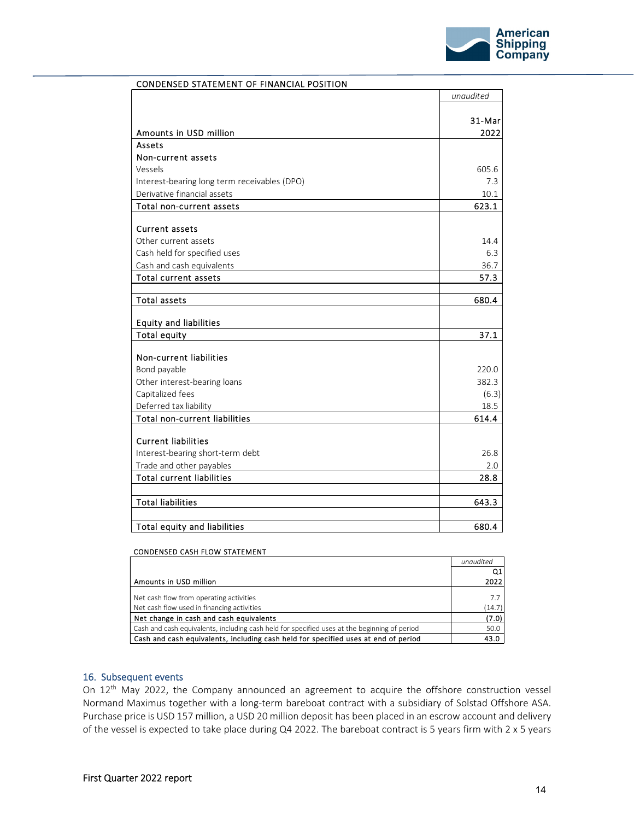

|                                              | unaudited |
|----------------------------------------------|-----------|
|                                              |           |
|                                              | 31-Mar    |
| Amounts in USD million                       | 2022      |
| Assets                                       |           |
| Non-current assets                           |           |
| Vessels                                      | 605.6     |
| Interest-bearing long term receivables (DPO) | 7.3       |
| Derivative financial assets                  | 10.1      |
| Total non-current assets                     | 623.1     |
| <b>Current assets</b>                        |           |
| Other current assets                         | 14.4      |
| Cash held for specified uses                 | 6.3       |
| Cash and cash equivalents                    | 36.7      |
| <b>Total current assets</b>                  | 57.3      |
|                                              |           |
| <b>Total assets</b>                          | 680.4     |
|                                              |           |
| <b>Equity and liabilities</b>                |           |
| <b>Total equity</b>                          | 37.1      |
|                                              |           |
| Non-current liabilities                      |           |
| Bond payable                                 | 220.0     |
| Other interest-bearing loans                 | 382.3     |
| Capitalized fees                             | (6.3)     |
| Deferred tax liability                       | 18.5      |
| <b>Total non-current liabilities</b>         | 614.4     |
| <b>Current liabilities</b>                   |           |
| Interest-bearing short-term debt             | 26.8      |
| Trade and other payables                     | 2.0       |
| <b>Total current liabilities</b>             | 28.8      |
|                                              |           |
| <b>Total liabilities</b>                     | 643.3     |
| Total equity and liabilities                 | 680.4     |
|                                              |           |

### CONDENSED STATEMENT OF FINANCIAL POSITION

#### CONDENSED CASH FLOW STATEMENT

|                                                                                              | unaudited |
|----------------------------------------------------------------------------------------------|-----------|
|                                                                                              | Q1        |
| Amounts in USD million                                                                       | 2022      |
|                                                                                              |           |
| Net cash flow from operating activities                                                      | 7.7       |
| Net cash flow used in financing activities                                                   | (14.7)    |
| Net change in cash and cash equivalents                                                      | (7.0)     |
| Cash and cash equivalents, including cash held for specified uses at the beginning of period | 50.0      |
| Cash and cash equivalents, including cash held for specified uses at end of period           |           |
|                                                                                              |           |
|                                                                                              |           |

#### 16. Subsequent events

On 12<sup>th</sup> May 2022, the Company announced an agreement to acquire the offshore construction vessel Normand Maximus together with a long‐term bareboat contract with a subsidiary of Solstad Offshore ASA. Purchase price is USD 157 million, a USD 20 million deposit has been placed in an escrow account and delivery of the vessel is expected to take place during Q4 2022. The bareboat contract is 5 years firm with 2 x 5 years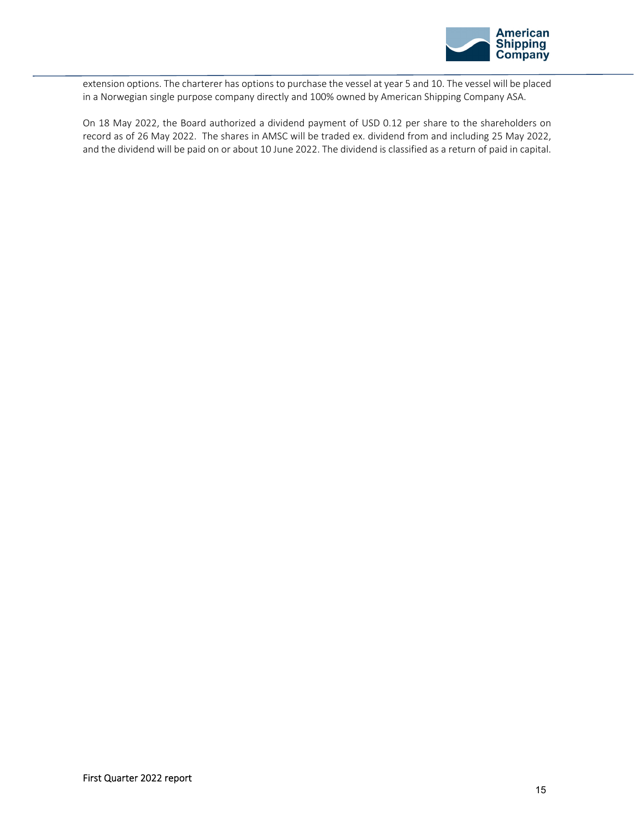

extension options. The charterer has options to purchase the vessel at year 5 and 10. The vessel will be placed in a Norwegian single purpose company directly and 100% owned by American Shipping Company ASA.

On 18 May 2022, the Board authorized a dividend payment of USD 0.12 per share to the shareholders on record as of 26 May 2022. The shares in AMSC will be traded ex. dividend from and including 25 May 2022, and the dividend will be paid on or about 10 June 2022. The dividend is classified as a return of paid in capital.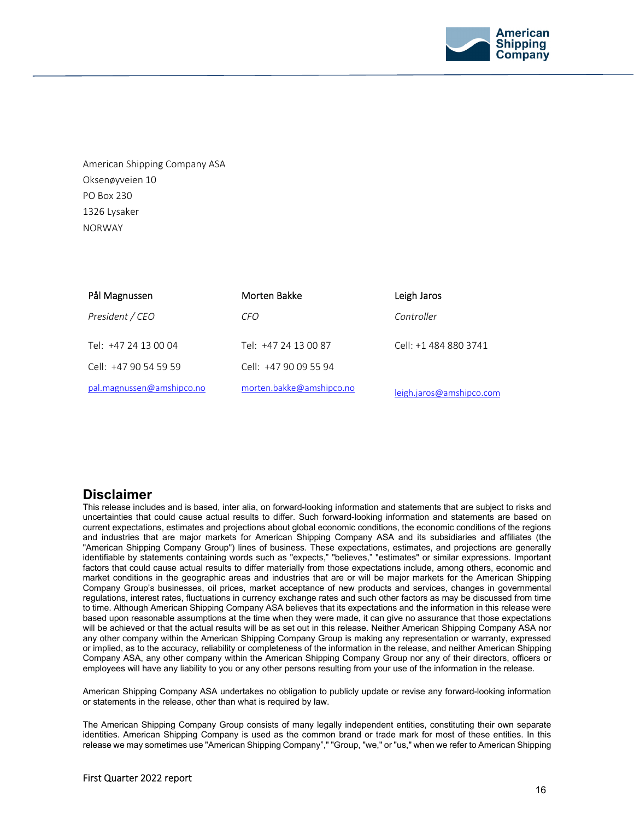

American Shipping Company ASA Oksenøyveien 10 PO Box 230 1326 Lysaker NORWAY

| Pål Magnussen             | Morten Bakke             | Leigh Jaros              |
|---------------------------|--------------------------|--------------------------|
| President / CEO           | CFO.                     | Controller               |
| Tel: +47 24 13 00 04      | Tel: +47 24 13 00 87     | Cell: +1 484 880 3741    |
| Cell: +47 90 54 59 59     | Cell: +47 90 09 55 94    |                          |
| pal.magnussen@amshipco.no | morten.bakke@amshipco.no | leigh.jaros@amshipco.com |

# **Disclaimer**

This release includes and is based, inter alia, on forward-looking information and statements that are subject to risks and uncertainties that could cause actual results to differ. Such forward-looking information and statements are based on current expectations, estimates and projections about global economic conditions, the economic conditions of the regions and industries that are major markets for American Shipping Company ASA and its subsidiaries and affiliates (the "American Shipping Company Group") lines of business. These expectations, estimates, and projections are generally identifiable by statements containing words such as "expects," "believes," "estimates" or similar expressions. Important factors that could cause actual results to differ materially from those expectations include, among others, economic and market conditions in the geographic areas and industries that are or will be major markets for the American Shipping Company Group's businesses, oil prices, market acceptance of new products and services, changes in governmental regulations, interest rates, fluctuations in currency exchange rates and such other factors as may be discussed from time to time. Although American Shipping Company ASA believes that its expectations and the information in this release were based upon reasonable assumptions at the time when they were made, it can give no assurance that those expectations will be achieved or that the actual results will be as set out in this release. Neither American Shipping Company ASA nor any other company within the American Shipping Company Group is making any representation or warranty, expressed or implied, as to the accuracy, reliability or completeness of the information in the release, and neither American Shipping Company ASA, any other company within the American Shipping Company Group nor any of their directors, officers or employees will have any liability to you or any other persons resulting from your use of the information in the release.

American Shipping Company ASA undertakes no obligation to publicly update or revise any forward-looking information or statements in the release, other than what is required by law.

The American Shipping Company Group consists of many legally independent entities, constituting their own separate identities. American Shipping Company is used as the common brand or trade mark for most of these entities. In this release we may sometimes use "American Shipping Company"," "Group, "we," or "us," when we refer to American Shipping